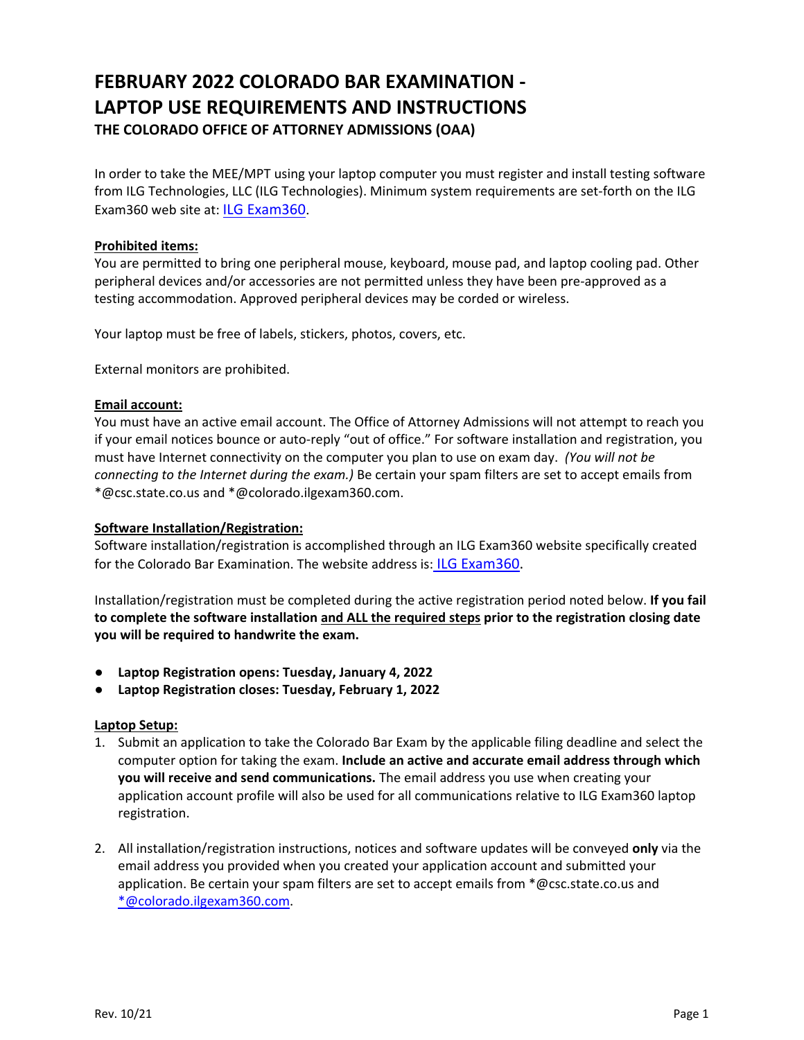# **FEBRUARY 2022 COLORADO BAR EXAMINATION ‐ LAPTOP USE REQUIREMENTS AND INSTRUCTIONS THE COLORADO OFFICE OF ATTORNEY ADMISSIONS (OAA)**

In order to take the MEE/MPT using your laptop computer you must register and install testing software from ILG Technologies, LLC (ILG Technologies). Minimum system requirements are set-forth on the ILG Exam360 web site at: [ILG Exam360](https://colorado.ilgexam360.com/home.action).

## **Prohibited items:**

You are permitted to bring one peripheral mouse, keyboard, mouse pad, and laptop cooling pad. Other peripheral devices and/or accessories are not permitted unless they have been pre‐approved as a testing accommodation. Approved peripheral devices may be corded or wireless.

Your laptop must be free of labels, stickers, photos, covers, etc.

External monitors are prohibited.

## **Email account:**

You must have an active email account. The Office of Attorney Admissions will not attempt to reach you if your email notices bounce or auto‐reply "out of office." For software installation and registration, you must have Internet connectivity on the computer you plan to use on exam day. *(You will not be connecting to the Internet during the exam.)* Be certain your spam filters are set to accept emails from \*@csc.state.co.us and \*@colorado.ilgexam360.com.

### **Software Installation/Registration:**

Software installation/registration is accomplished through an ILG Exam360 website specifically created for the Colorado Bar Examination. The website address is: [ILG Exam360.](https://colorado.ilgexam360.com/home.action)

Installation/registration must be completed during the active registration period noted below. **If you fail to complete the software installation and ALL the required steps prior to the registration closing date you will be required to handwrite the exam.** 

- **Laptop Registration opens: Tuesday, January 4, 2022**
- **Laptop Registration closes: Tuesday, February 1, 2022**

#### **Laptop Setup:**

- 1. Submit an application to take the Colorado Bar Exam by the applicable filing deadline and select the computer option for taking the exam. **Include an active and accurate email address through which you will receive and send communications.** The email address you use when creating your application account profile will also be used for all communications relative to ILG Exam360 laptop registration.
- 2. All installation/registration instructions, notices and software updates will be conveyed **only** via the email address you provided when you created your application account and submitted your application. Be certain your spam filters are set to accept emails from  $*@csc.$ state.co.us and \*@colorado.ilgexam360.com.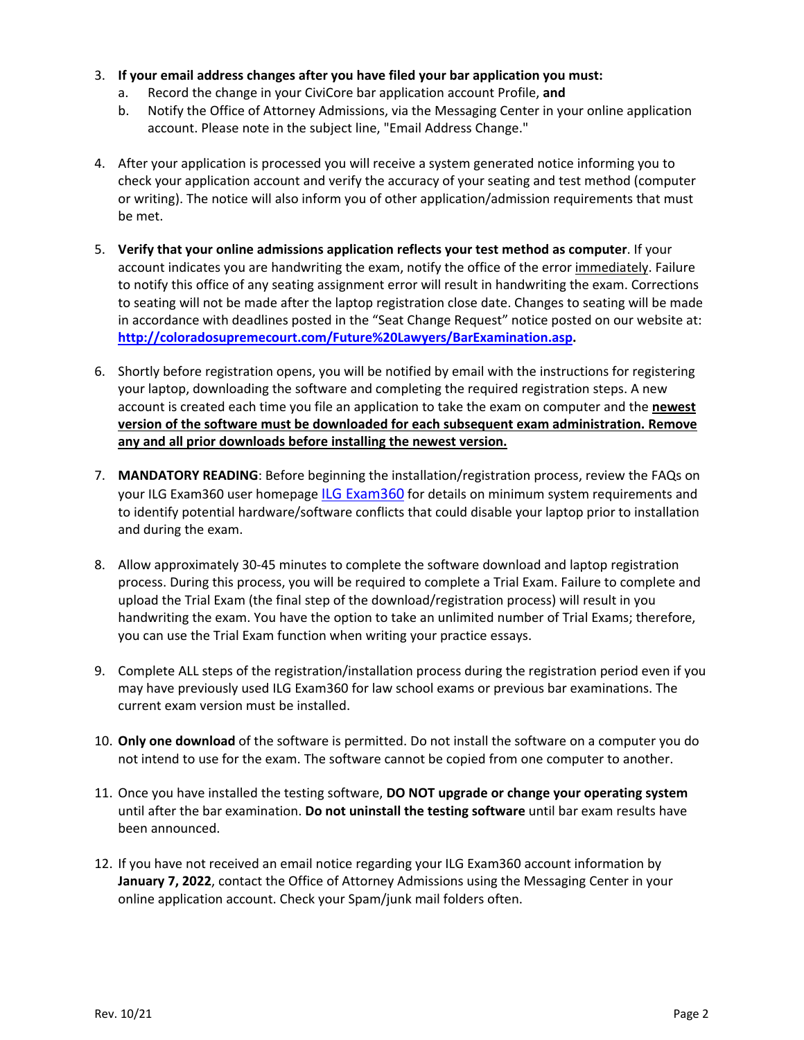- 3. **If your email address changes after you have filed your bar application you must:**
	- a. Record the change in your CiviCore bar application account Profile, **and**
	- b. Notify the Office of Attorney Admissions, via the Messaging Center in your online application account. Please note in the subject line, "Email Address Change."
- 4. After your application is processed you will receive a system generated notice informing you to check your application account and verify the accuracy of your seating and test method (computer or writing). The notice will also inform you of other application/admission requirements that must be met.
- 5. **Verify that your online admissions application reflects your test method as computer**. If your account indicates you are handwriting the exam, notify the office of the error immediately. Failure to notify this office of any seating assignment error will result in handwriting the exam. Corrections to seating will not be made after the laptop registration close date. Changes to seating will be made in accordance with deadlines posted in the "Seat Change Request" notice posted on our website at: **http://coloradosupremecourt.com/Future%20Lawyers/BarExamination.asp.**
- 6. Shortly before registration opens, you will be notified by email with the instructions for registering your laptop, downloading the software and completing the required registration steps. A new account is created each time you file an application to take the exam on computer and the **newest version of the software must be downloaded for each subsequent exam administration. Remove any and all prior downloads before installing the newest version.**
- 7. **MANDATORY READING**: Before beginning the installation/registration process, review the FAQs on your ILG Exam360 user homepage [ILG Exam360](https://colorado.ilgexam360.com/home.action) for details on minimum system requirements and to identify potential hardware/software conflicts that could disable your laptop prior to installation and during the exam.
- 8. Allow approximately 30‐45 minutes to complete the software download and laptop registration process. During this process, you will be required to complete a Trial Exam. Failure to complete and upload the Trial Exam (the final step of the download/registration process) will result in you handwriting the exam. You have the option to take an unlimited number of Trial Exams; therefore, you can use the Trial Exam function when writing your practice essays.
- 9. Complete ALL steps of the registration/installation process during the registration period even if you may have previously used ILG Exam360 for law school exams or previous bar examinations. The current exam version must be installed.
- 10. **Only one download** of the software is permitted. Do not install the software on a computer you do not intend to use for the exam. The software cannot be copied from one computer to another.
- 11. Once you have installed the testing software, **DO NOT upgrade or change your operating system**  until after the bar examination. **Do not uninstall the testing software** until bar exam results have been announced.
- 12. If you have not received an email notice regarding your ILG Exam360 account information by **January 7, 2022**, contact the Office of Attorney Admissions using the Messaging Center in your online application account. Check your Spam/junk mail folders often.